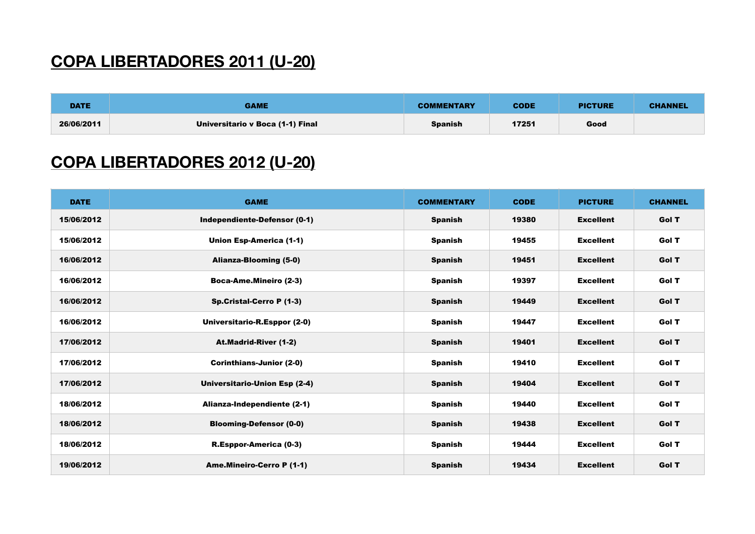## **COPA LIBERTADORES 2011 (U-20)**

| <b>DATE</b> | <b>GAME</b>                      | <b>COMMENTARY</b> | <b>CODE</b> | <b>PICTURE</b> | <b>CHANNEL</b> |
|-------------|----------------------------------|-------------------|-------------|----------------|----------------|
| 26/06/2011  | Universitario v Boca (1-1) Final | <b>Spanish</b>    | 17251       | Good           |                |

## **COPA LIBERTADORES 2012 (U-20)**

| <b>DATE</b> | <b>GAME</b>                          | <b>COMMENTARY</b> | <b>CODE</b> | <b>PICTURE</b>   | <b>CHANNEL</b> |
|-------------|--------------------------------------|-------------------|-------------|------------------|----------------|
| 15/06/2012  | Independiente-Defensor (0-1)         | <b>Spanish</b>    | 19380       | <b>Excellent</b> | Gol T          |
| 15/06/2012  | Union Esp-America (1-1)              | <b>Spanish</b>    | 19455       | <b>Excellent</b> | Gol T          |
| 16/06/2012  | Alianza-Blooming (5-0)               | <b>Spanish</b>    | 19451       | <b>Excellent</b> | Gol T          |
| 16/06/2012  | <b>Boca-Ame.Mineiro (2-3)</b>        | <b>Spanish</b>    | 19397       | <b>Excellent</b> | Gol T          |
| 16/06/2012  | Sp.Cristal-Cerro P (1-3)             | <b>Spanish</b>    | 19449       | <b>Excellent</b> | Gol T          |
| 16/06/2012  | Universitario-R.Esppor (2-0)         | <b>Spanish</b>    | 19447       | <b>Excellent</b> | Gol T          |
| 17/06/2012  | <b>At.Madrid-River (1-2)</b>         | <b>Spanish</b>    | 19401       | <b>Excellent</b> | Gol T          |
| 17/06/2012  | <b>Corinthians-Junior (2-0)</b>      | <b>Spanish</b>    | 19410       | <b>Excellent</b> | Gol T          |
| 17/06/2012  | <b>Universitario-Union Esp (2-4)</b> | <b>Spanish</b>    | 19404       | <b>Excellent</b> | Gol T          |
| 18/06/2012  | Alianza-Independiente (2-1)          | <b>Spanish</b>    | 19440       | <b>Excellent</b> | Gol T          |
| 18/06/2012  | <b>Blooming-Defensor (0-0)</b>       | <b>Spanish</b>    | 19438       | <b>Excellent</b> | Gol T          |
| 18/06/2012  | R.Esppor-America (0-3)               | <b>Spanish</b>    | 19444       | <b>Excellent</b> | Gol T          |
| 19/06/2012  | <b>Ame.Mineiro-Cerro P (1-1)</b>     | <b>Spanish</b>    | 19434       | <b>Excellent</b> | Gol T          |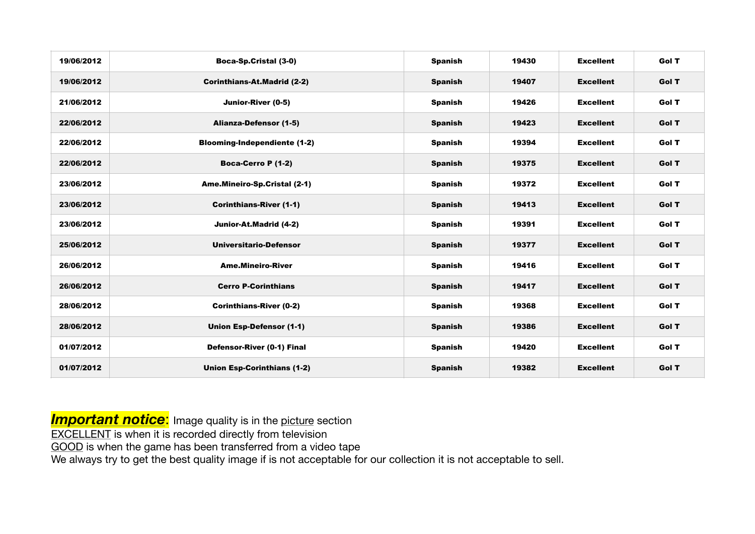| 19/06/2012 | Boca-Sp.Cristal (3-0)               | <b>Spanish</b> | 19430 | <b>Excellent</b> | Gol T |
|------------|-------------------------------------|----------------|-------|------------------|-------|
| 19/06/2012 | <b>Corinthians-At.Madrid (2-2)</b>  | <b>Spanish</b> | 19407 | <b>Excellent</b> | Gol T |
| 21/06/2012 | Junior-River (0-5)                  | <b>Spanish</b> | 19426 | <b>Excellent</b> | Gol T |
| 22/06/2012 | Alianza-Defensor (1-5)              | <b>Spanish</b> | 19423 | <b>Excellent</b> | Gol T |
| 22/06/2012 | <b>Blooming-Independiente (1-2)</b> | <b>Spanish</b> | 19394 | <b>Excellent</b> | Gol T |
| 22/06/2012 | Boca-Cerro P (1-2)                  | <b>Spanish</b> | 19375 | <b>Excellent</b> | Gol T |
| 23/06/2012 | Ame.Mineiro-Sp.Cristal (2-1)        | <b>Spanish</b> | 19372 | <b>Excellent</b> | Gol T |
| 23/06/2012 | <b>Corinthians-River (1-1)</b>      | <b>Spanish</b> | 19413 | <b>Excellent</b> | Gol T |
| 23/06/2012 | Junior-At.Madrid (4-2)              | <b>Spanish</b> | 19391 | <b>Excellent</b> | Gol T |
| 25/06/2012 | <b>Universitario-Defensor</b>       | <b>Spanish</b> | 19377 | <b>Excellent</b> | Gol T |
| 26/06/2012 | <b>Ame.Mineiro-River</b>            | <b>Spanish</b> | 19416 | <b>Excellent</b> | Gol T |
| 26/06/2012 | <b>Cerro P-Corinthians</b>          | <b>Spanish</b> | 19417 | <b>Excellent</b> | Gol T |
| 28/06/2012 | <b>Corinthians-River (0-2)</b>      | <b>Spanish</b> | 19368 | <b>Excellent</b> | Gol T |
| 28/06/2012 | <b>Union Esp-Defensor (1-1)</b>     | <b>Spanish</b> | 19386 | <b>Excellent</b> | Gol T |
| 01/07/2012 | Defensor-River (0-1) Final          | <b>Spanish</b> | 19420 | <b>Excellent</b> | Gol T |
| 01/07/2012 | <b>Union Esp-Corinthians (1-2)</b>  | <b>Spanish</b> | 19382 | <b>Excellent</b> | Gol T |

**Important notice:** Image quality is in the picture section

EXCELLENT is when it is recorded directly from television

GOOD is when the game has been transferred from a video tape

We always try to get the best quality image if is not acceptable for our collection it is not acceptable to sell.